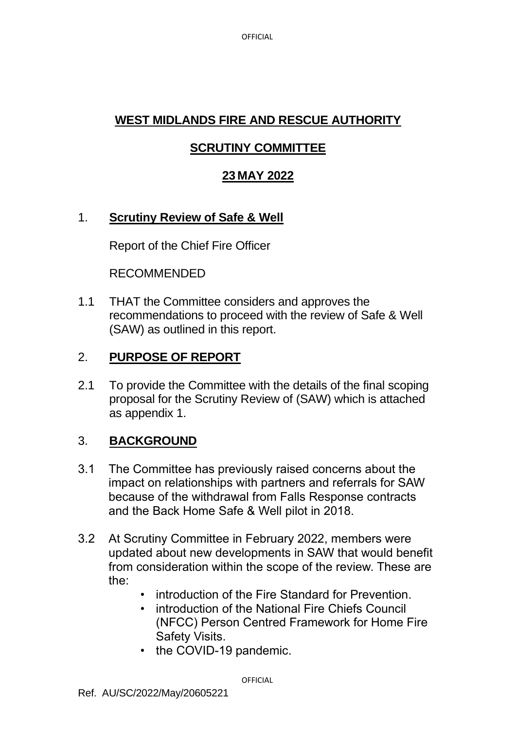# **WEST MIDLANDS FIRE AND RESCUE AUTHORITY**

## **SCRUTINY COMMITTEE**

## **23 MAY 2022**

### 1. **Scrutiny Review of Safe & Well**

Report of the Chief Fire Officer

RECOMMENDED

1.1 THAT the Committee considers and approves the recommendations to proceed with the review of Safe & Well (SAW) as outlined in this report.

## 2. **PURPOSE OF REPORT**

2.1 To provide the Committee with the details of the final scoping proposal for the Scrutiny Review of (SAW) which is attached as appendix 1.

## 3. **BACKGROUND**

- 3.1 The Committee has previously raised concerns about the impact on relationships with partners and referrals for SAW because of the withdrawal from Falls Response contracts and the Back Home Safe & Well pilot in 2018.
- 3.2 At Scrutiny Committee in February 2022, members were updated about new developments in SAW that would benefit from consideration within the scope of the review. These are the:
	- introduction of the Fire Standard for Prevention.
	- introduction of the National Fire Chiefs Council (NFCC) Person Centred Framework for Home Fire Safety Visits.
	- the COVID-19 pandemic.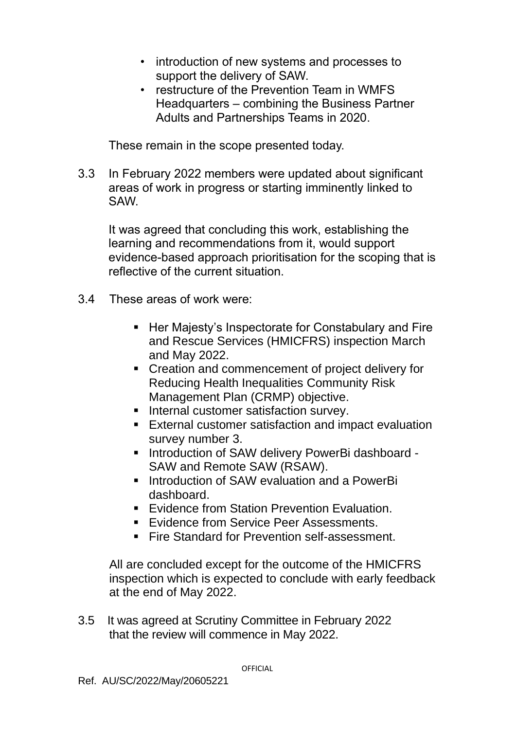- introduction of new systems and processes to support the delivery of SAW.
- restructure of the Prevention Team in WMFS Headquarters – combining the Business Partner Adults and Partnerships Teams in 2020.

These remain in the scope presented today.

3.3 In February 2022 members were updated about significant areas of work in progress or starting imminently linked to SAW.

It was agreed that concluding this work, establishing the learning and recommendations from it, would support evidence-based approach prioritisation for the scoping that is reflective of the current situation.

- 3.4 These areas of work were:
	- Her Majesty's Inspectorate for Constabulary and Fire and Rescue Services (HMICFRS) inspection March and May 2022.
	- Creation and commencement of project delivery for Reducing Health Inequalities Community Risk Management Plan (CRMP) objective.
	- Internal customer satisfaction survey.
	- External customer satisfaction and impact evaluation survey number 3.
	- Introduction of SAW delivery PowerBi dashboard SAW and Remote SAW (RSAW).
	- Introduction of SAW evaluation and a PowerBi dashboard.
	- Fvidence from Station Prevention Evaluation.
	- **E**vidence from Service Peer Assessments.
	- Fire Standard for Prevention self-assessment.

All are concluded except for the outcome of the HMICFRS inspection which is expected to conclude with early feedback at the end of May 2022.

3.5 It was agreed at Scrutiny Committee in February 2022 that the review will commence in May 2022.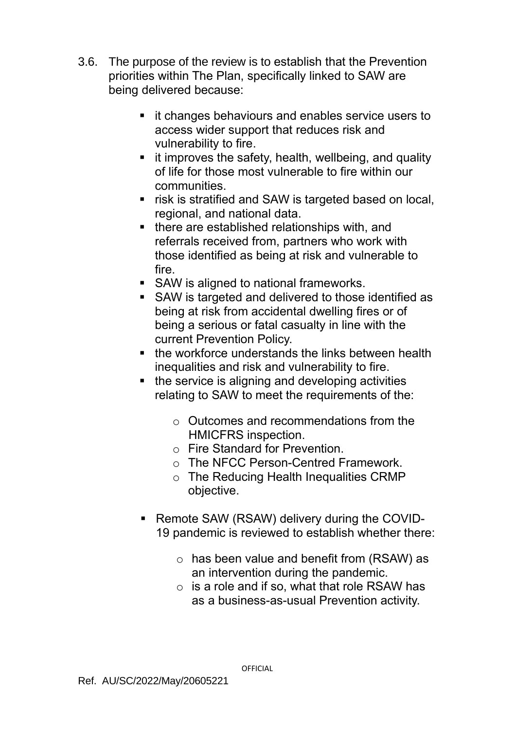- 3.6. The purpose of the review is to establish that the Prevention priorities within The Plan, specifically linked to SAW are being delivered because:
	- it changes behaviours and enables service users to access wider support that reduces risk and vulnerability to fire.
	- **E** it improves the safety, health, wellbeing, and quality of life for those most vulnerable to fire within our communities.
	- risk is stratified and SAW is targeted based on local, regional, and national data.
	- there are established relationships with, and referrals received from, partners who work with those identified as being at risk and vulnerable to fire.
	- SAW is aligned to national frameworks.
	- SAW is targeted and delivered to those identified as being at risk from accidental dwelling fires or of being a serious or fatal casualty in line with the current Prevention Policy.
	- the workforce understands the links between health inequalities and risk and vulnerability to fire.
	- the service is aligning and developing activities relating to SAW to meet the requirements of the:
		- o Outcomes and recommendations from the HMICFRS inspection.
		- o Fire Standard for Prevention.
		- o The NFCC Person-Centred Framework.
		- o The Reducing Health Inequalities CRMP objective.
	- Remote SAW (RSAW) delivery during the COVID-19 pandemic is reviewed to establish whether there:
		- $\circ$  has been value and benefit from (RSAW) as an intervention during the pandemic.
		- $\circ$  is a role and if so, what that role RSAW has as a business-as-usual Prevention activity.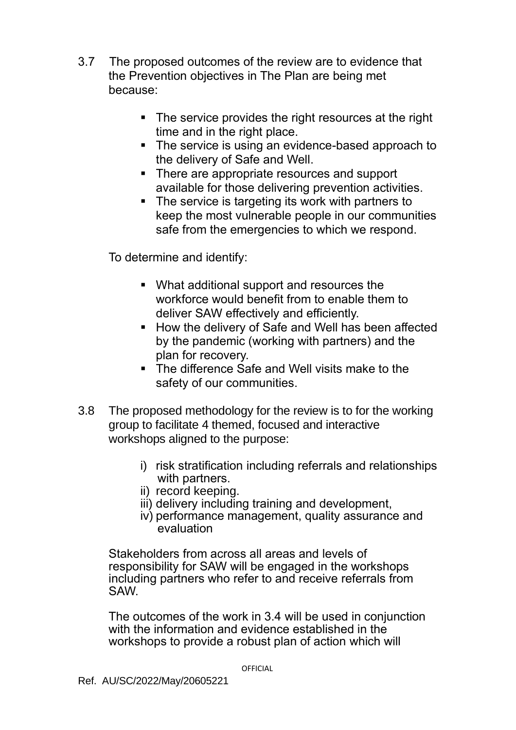- 3.7 The proposed outcomes of the review are to evidence that the Prevention objectives in The Plan are being met because:
	- The service provides the right resources at the right time and in the right place.
	- The service is using an evidence-based approach to the delivery of Safe and Well.
	- There are appropriate resources and support available for those delivering prevention activities.
	- The service is targeting its work with partners to keep the most vulnerable people in our communities safe from the emergencies to which we respond.

To determine and identify:

- What additional support and resources the workforce would benefit from to enable them to deliver SAW effectively and efficiently.
- How the delivery of Safe and Well has been affected by the pandemic (working with partners) and the plan for recovery.
- The difference Safe and Well visits make to the safety of our communities.
- 3.8 The proposed methodology for the review is to for the working group to facilitate 4 themed, focused and interactive workshops aligned to the purpose:
	- i) risk stratification including referrals and relationships with partners.
	- ii) record keeping.
	- iii) delivery including training and development,
	- iv) performance management, quality assurance and evaluation

Stakeholders from across all areas and levels of responsibility for SAW will be engaged in the workshops including partners who refer to and receive referrals from SAW.

The outcomes of the work in 3.4 will be used in conjunction with the information and evidence established in the workshops to provide a robust plan of action which will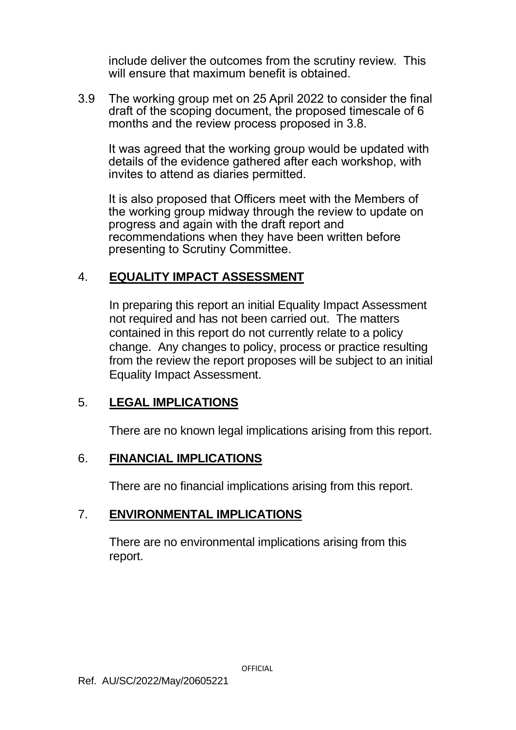include deliver the outcomes from the scrutiny review. This will ensure that maximum benefit is obtained.

3.9 The working group met on 25 April 2022 to consider the final draft of the scoping document, the proposed timescale of 6 months and the review process proposed in 3.8.

It was agreed that the working group would be updated with details of the evidence gathered after each workshop, with invites to attend as diaries permitted.

It is also proposed that Officers meet with the Members of the working group midway through the review to update on progress and again with the draft report and recommendations when they have been written before presenting to Scrutiny Committee.

### 4. **EQUALITY IMPACT ASSESSMENT**

In preparing this report an initial Equality Impact Assessment not required and has not been carried out. The matters contained in this report do not currently relate to a policy change. Any changes to policy, process or practice resulting from the review the report proposes will be subject to an initial Equality Impact Assessment.

### 5. **LEGAL IMPLICATIONS**

There are no known legal implications arising from this report.

### 6. **FINANCIAL IMPLICATIONS**

There are no financial implications arising from this report.

### 7. **ENVIRONMENTAL IMPLICATIONS**

There are no environmental implications arising from this report.